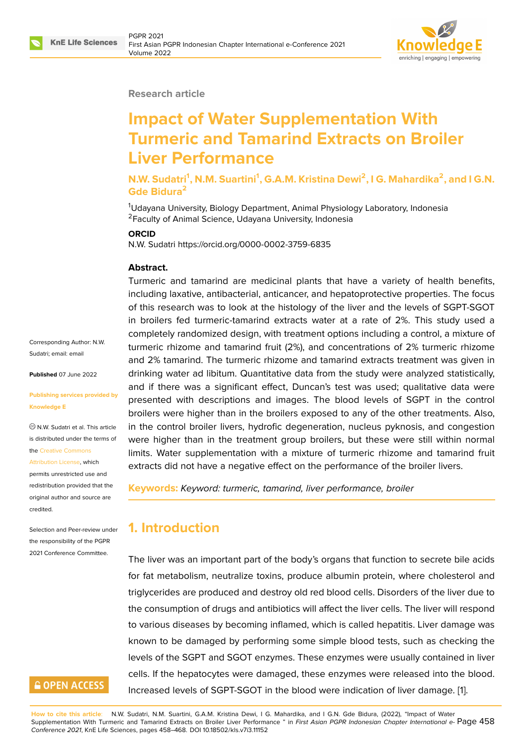

#### **Research article**

# **Impact of Water Supplementation With Turmeric and Tamarind Extracts on Broiler Liver Performance**

**N.W. Sudatri<sup>1</sup> , N.M. Suartini<sup>1</sup> , G.A.M. Kristina Dewi<sup>2</sup> , I G. Mahardika<sup>2</sup> , and I G.N. Gde Bidura<sup>2</sup>**

<sup>1</sup>Udayana University, Biology Department, Animal Physiology Laboratory, Indonesia <sup>2</sup> Faculty of Animal Science, Udayana University, Indonesia

#### **ORCID**

N.W. Sudatri https://orcid.org/0000-0002-3759-6835

#### **Abstract.**

Turmeric and tamarind are medicinal plants that have a variety of health benefits, including laxative, antibacterial, anticancer, and hepatoprotective properties. The focus of this research was to look at the histology of the liver and the levels of SGPT-SGOT in broilers fed turmeric-tamarind extracts water at a rate of 2%. This study used a completely randomized design, with treatment options including a control, a mixture of turmeric rhizome and tamarind fruit (2%), and concentrations of 2% turmeric rhizome and 2% tamarind. The turmeric rhizome and tamarind extracts treatment was given in drinking water ad libitum. Quantitative data from the study were analyzed statistically, and if there was a significant effect, Duncan's test was used; qualitative data were presented with descriptions and images. The blood levels of SGPT in the control broilers were higher than in the broilers exposed to any of the other treatments. Also, in the control broiler livers, hydrofic degeneration, nucleus pyknosis, and congestion were higher than in the treatment group broilers, but these were still within normal limits. Water supplementation with a mixture of turmeric rhizome and tamarind fruit extracts did not have a negative effect on the performance of the broiler livers.

**Keywords:** *Keyword: turmeric, tamarind, liver performance, broiler*

# **1. Introduction**

The liver was an important part of the body's organs that function to secrete bile acids for fat metabolism, neutralize toxins, produce albumin protein, where cholesterol and triglycerides are produced and destroy old red blood cells. Disorders of the liver due to the consumption of drugs and antibiotics will affect the liver cells. The liver will respond to various diseases by becoming inflamed, which is called hepatitis. Liver damage was known to be damaged by performing some simple blood tests, such as checking the levels of the SGPT and SGOT enzymes. These enzymes were usually contained in liver cells. If the hepatocytes were damaged, these enzymes were released into the blood. Increased levels of SGPT-SGOT in the blood were indication of liver damage. [1].

**How to cite this article**: N.W. Sudatri, N.M. Suartini, G.A.M. Kristina Dewi, I G. Mahardika, and I G.N. Gde Bidura, (2022), "Impact of Water Supplementation With Turmeric and Tamarind Extracts on Broiler Liver Performance " in *First Asian PGPR Indonesian Chapter International e-*Page 458 *Conference 2021*, KnE Life Sciences, pages 458–468. DOI 10.18502/kls.v7i3.11152

Corresponding Author: N.W. Sudatri; email: email

**Published** 07 June 2022

#### **Publishing ser[vices](mailto:email) provided by Knowledge E**

N.W. Sudatri et al. This article is distributed under the terms of the Creative Commons Attribution License, which

permits unrestricted use and redistribution provided that the orig[inal author and sou](https://creativecommons.org/licenses/by/4.0/)rce are [credited.](https://creativecommons.org/licenses/by/4.0/)

Selection and Peer-review under the responsibility of the PGPR 2021 Conference Committee.

# **GOPEN ACCESS**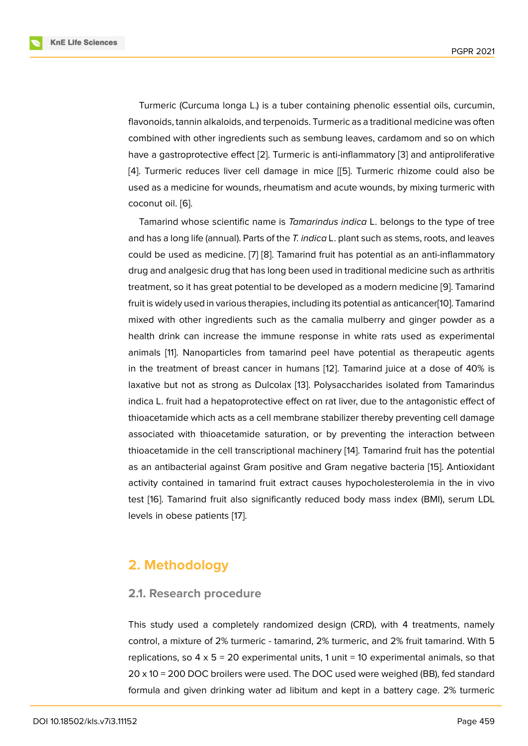Turmeric (Curcuma longa L.) is a tuber containing phenolic essential oils, curcumin, flavonoids, tannin alkaloids, and terpenoids. Turmeric as a traditional medicine was often combined with other ingredients such as sembung leaves, cardamom and so on which have a gastroprotective effect [2]. Turmeric is anti-inflammatory [3] and antiproliferative [4]. Turmeric reduces liver cell damage in mice [[5]. Turmeric rhizome could also be used as a medicine for wounds, rheumatism and acute wounds, by mixing turmeric with coconut oil. [6].

Tamarind whose scientific name is *Tamarindus [in](#page-8-0)dica* L. belongs to the type of tree and has a long life (annual). Parts of the *T. indica* L. plant such as stems, roots, and leaves could be us[ed](#page-8-1) as medicine. [7] [8]. Tamarind fruit has potential as an anti-inflammatory drug and analgesic drug that has long been used in traditional medicine such as arthritis treatment, so it has great potential to be developed as a modern medicine [9]. Tamarind fruit is widely used in various [th](#page-8-2)e[ra](#page-8-3)pies, including its potential as anticancer[10]. Tamarind mixed with other ingredients such as the camalia mulberry and ginger powder as a health drink can increase the immune response in white rats used as [ex](#page-8-4)perimental animals [11]. Nanoparticles from tamarind peel have potential as thera[peu](#page-8-5)tic agents in the treatment of breast cancer in humans [12]. Tamarind juice at a dose of 40% is laxative but not as strong as Dulcolax [13]. Polysaccharides isolated from Tamarindus indica L. [fru](#page-9-0)it had a hepatoprotective effect on rat liver, due to the antagonistic effect of thioacetamide which acts as a cell membrane s[tab](#page-9-1)ilizer thereby preventing cell damage associated with thioacetamide saturati[on](#page-9-2), or by preventing the interaction between thioacetamide in the cell transcriptional machinery [14]. Tamarind fruit has the potential as an antibacterial against Gram positive and Gram negative bacteria [15]. Antioxidant activity contained in tamarind fruit extract causes hypocholesterolemia in the in vivo test [16]. Tamarind fruit also significantly reduced [bod](#page-9-3)y mass index (BMI), serum LDL levels in obese patients [17].

# **2. Methodology**

## **2.1. Research procedure**

This study used a completely randomized design (CRD), with 4 treatments, namely control, a mixture of 2% turmeric - tamarind, 2% turmeric, and 2% fruit tamarind. With 5 replications, so  $4 \times 5 = 20$  experimental units, 1 unit = 10 experimental animals, so that 20 x 10 = 200 DOC broilers were used. The DOC used were weighed (BB), fed standard formula and given drinking water ad libitum and kept in a battery cage. 2% turmeric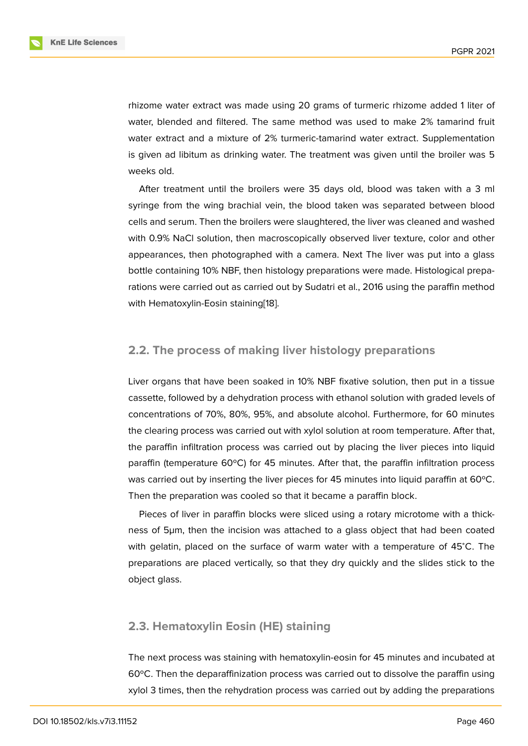rhizome water extract was made using 20 grams of turmeric rhizome added 1 liter of water, blended and filtered. The same method was used to make 2% tamarind fruit water extract and a mixture of 2% turmeric-tamarind water extract. Supplementation is given ad libitum as drinking water. The treatment was given until the broiler was 5 weeks old.

After treatment until the broilers were 35 days old, blood was taken with a 3 ml syringe from the wing brachial vein, the blood taken was separated between blood cells and serum. Then the broilers were slaughtered, the liver was cleaned and washed with 0.9% NaCl solution, then macroscopically observed liver texture, color and other appearances, then photographed with a camera. Next The liver was put into a glass bottle containing 10% NBF, then histology preparations were made. Histological preparations were carried out as carried out by Sudatri et al., 2016 using the paraffin method with Hematoxylin-Eosin staining[18].

## **2.2. The process of maki[ng](#page-9-4) liver histology preparations**

Liver organs that have been soaked in 10% NBF fixative solution, then put in a tissue cassette, followed by a dehydration process with ethanol solution with graded levels of concentrations of 70%, 80%, 95%, and absolute alcohol. Furthermore, for 60 minutes the clearing process was carried out with xylol solution at room temperature. After that, the paraffin infiltration process was carried out by placing the liver pieces into liquid paraffin (temperature 60ºC) for 45 minutes. After that, the paraffin infiltration process was carried out by inserting the liver pieces for 45 minutes into liquid paraffin at 60°C. Then the preparation was cooled so that it became a paraffin block.

Pieces of liver in paraffin blocks were sliced using a rotary microtome with a thickness of 5µm, then the incision was attached to a glass object that had been coated with gelatin, placed on the surface of warm water with a temperature of 45<sup>∘</sup>C. The preparations are placed vertically, so that they dry quickly and the slides stick to the object glass.

## **2.3. Hematoxylin Eosin (HE) staining**

The next process was staining with hematoxylin-eosin for 45 minutes and incubated at 60ºC. Then the deparaffinization process was carried out to dissolve the paraffin using xylol 3 times, then the rehydration process was carried out by adding the preparations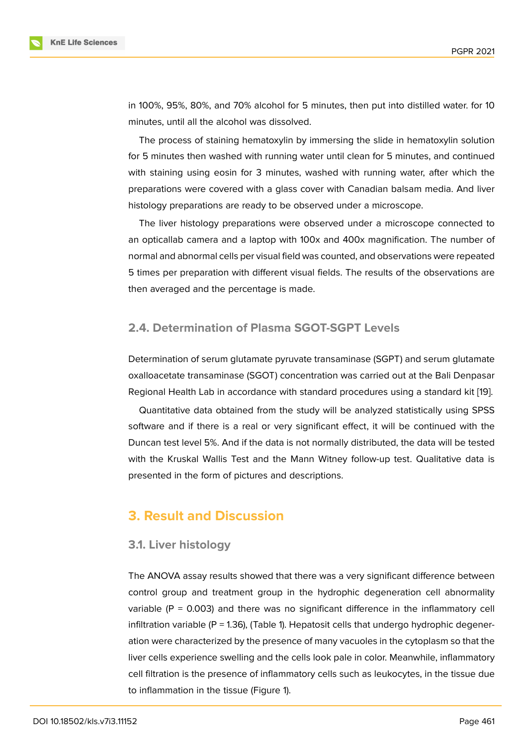in 100%, 95%, 80%, and 70% alcohol for 5 minutes, then put into distilled water. for 10 minutes, until all the alcohol was dissolved.

The process of staining hematoxylin by immersing the slide in hematoxylin solution for 5 minutes then washed with running water until clean for 5 minutes, and continued with staining using eosin for 3 minutes, washed with running water, after which the preparations were covered with a glass cover with Canadian balsam media. And liver histology preparations are ready to be observed under a microscope.

The liver histology preparations were observed under a microscope connected to an opticallab camera and a laptop with 100x and 400x magnification. The number of normal and abnormal cells per visual field was counted, and observations were repeated 5 times per preparation with different visual fields. The results of the observations are then averaged and the percentage is made.

## **2.4. Determination of Plasma SGOT-SGPT Levels**

Determination of serum glutamate pyruvate transaminase (SGPT) and serum glutamate oxalloacetate transaminase (SGOT) concentration was carried out at the Bali Denpasar Regional Health Lab in accordance with standard procedures using a standard kit [19].

Quantitative data obtained from the study will be analyzed statistically using SPSS software and if there is a real or very significant effect, it will be continued with the Duncan test level 5%. And if the data is not normally distributed, the data will be te[ste](#page-9-5)d with the Kruskal Wallis Test and the Mann Witney follow-up test. Qualitative data is presented in the form of pictures and descriptions.

# **3. Result and Discussion**

#### **3.1. Liver histology**

The ANOVA assay results showed that there was a very significant difference between control group and treatment group in the hydrophic degeneration cell abnormality variable ( $P = 0.003$ ) and there was no significant difference in the inflammatory cell infiltration variable  $(P = 1.36)$ , (Table 1). Hepatosit cells that undergo hydrophic degeneration were characterized by the presence of many vacuoles in the cytoplasm so that the liver cells experience swelling and the cells look pale in color. Meanwhile, inflammatory cell filtration is the presence of inflammatory cells such as leukocytes, in the tissue due to inflammation in the tissue (Figure 1).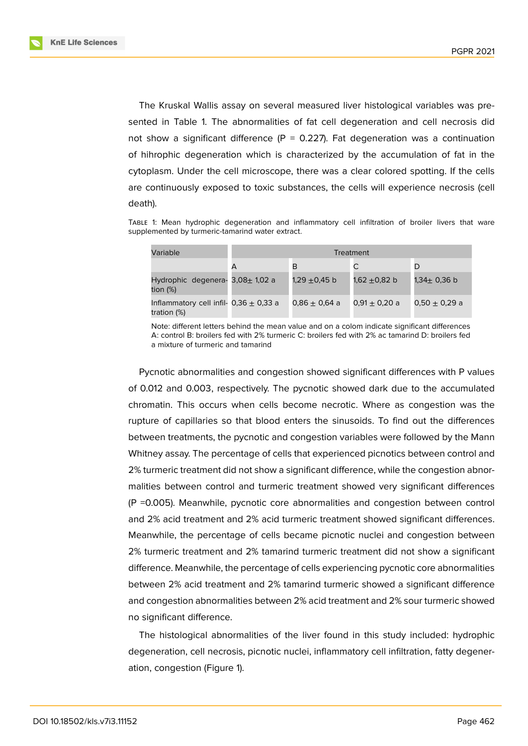The Kruskal Wallis assay on several measured liver histological variables was presented in Table 1. The abnormalities of fat cell degeneration and cell necrosis did not show a significant difference (P = 0.227). Fat degeneration was a continuation of hihrophic degeneration which is characterized by the accumulation of fat in the cytoplasm. Under the cell microscope, there was a clear colored spotting. If the cells are continuously exposed to toxic substances, the cells will experience necrosis (cell death).

Table 1: Mean hydrophic degeneration and inflammatory cell infiltration of broiler livers that ware supplemented by turmeric-tamarind water extract.

| Variable                                                  | Treatment |                   |                   |                   |  |
|-----------------------------------------------------------|-----------|-------------------|-------------------|-------------------|--|
|                                                           |           | B                 |                   |                   |  |
| Hydrophic degenera- $3,08\pm 1,02$ a<br>tion (%)          |           | 1,29 ±0,45 b      | 1,62 $\pm$ 0,82 b | 1,34± 0,36 b      |  |
| Inflammatory cell infil- $0,36 \pm 0,33$ a<br>tration (%) |           | $0.86 \pm 0.64$ a | $0.91 \pm 0.20$ a | $0.50 \pm 0.29$ a |  |

Note: different letters behind the mean value and on a colom indicate significant differences A: control B: broilers fed with 2% turmeric C: broilers fed with 2% ac tamarind D: broilers fed a mixture of turmeric and tamarind

Pycnotic abnormalities and congestion showed significant differences with P values of 0.012 and 0.003, respectively. The pycnotic showed dark due to the accumulated chromatin. This occurs when cells become necrotic. Where as congestion was the rupture of capillaries so that blood enters the sinusoids. To find out the differences between treatments, the pycnotic and congestion variables were followed by the Mann Whitney assay. The percentage of cells that experienced picnotics between control and 2% turmeric treatment did not show a significant difference, while the congestion abnormalities between control and turmeric treatment showed very significant differences (P =0.005). Meanwhile, pycnotic core abnormalities and congestion between control and 2% acid treatment and 2% acid turmeric treatment showed significant differences. Meanwhile, the percentage of cells became picnotic nuclei and congestion between 2% turmeric treatment and 2% tamarind turmeric treatment did not show a significant difference. Meanwhile, the percentage of cells experiencing pycnotic core abnormalities between 2% acid treatment and 2% tamarind turmeric showed a significant difference and congestion abnormalities between 2% acid treatment and 2% sour turmeric showed no significant difference.

The histological abnormalities of the liver found in this study included: hydrophic degeneration, cell necrosis, picnotic nuclei, inflammatory cell infiltration, fatty degeneration, congestion (Figure 1).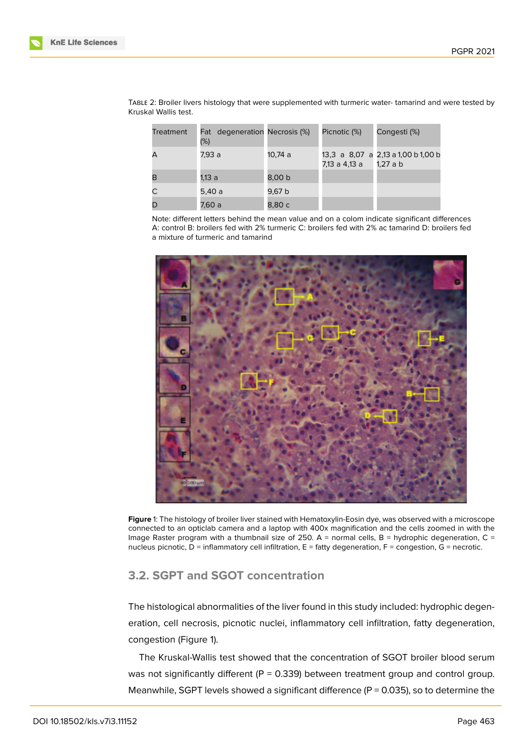| Treatment | Fat degeneration Necrosis (%)<br>(%) |         | Picnotic (%)  | Congesti (%)                                  |
|-----------|--------------------------------------|---------|---------------|-----------------------------------------------|
|           | 7,93 a                               | 10,74 a | 7,13 a 4,13 a | 13,3 a 8,07 a 2,13 a 1,00 b 1,00 b<br>1.27a b |
| в         | 1,13 a                               | 8,00 b  |               |                                               |
|           | 5.40 a                               | 9,67 b  |               |                                               |
|           | 7,60 a                               | 8,80 c  |               |                                               |

Table 2: Broiler livers histology that were supplemented with turmeric water- tamarind and were tested by Kruskal Wallis test.

Note: different letters behind the mean value and on a colom indicate significant differences A: control B: broilers fed with 2% turmeric C: broilers fed with 2% ac tamarind D: broilers fed a mixture of turmeric and tamarind



**Figure** 1: The histology of broiler liver stained with Hematoxylin-Eosin dye, was observed with a microscope connected to an opticlab camera and a laptop with 400x magnification and the cells zoomed in with the Image Raster program with a thumbnail size of 250. A = normal cells, B = hydrophic degeneration, C = nucleus picnotic, D = inflammatory cell infiltration, E = fatty degeneration, F = congestion, G = necrotic.

#### <span id="page-5-0"></span>**3.2. SGPT and SGOT concentration**

The histological abnormalities of the liver found in this study included: hydrophic degeneration, cell necrosis, picnotic nuclei, inflammatory cell infiltration, fatty degeneration, congestion (Figure 1).

The Kruskal-Wallis test showed that the concentration of SGOT broiler blood serum was not significantly different ( $P = 0.339$ ) between treatment group and control group. Meanwhile, SGPT l[ev](#page-5-0)els showed a significant difference ( $P = 0.035$ ), so to determine the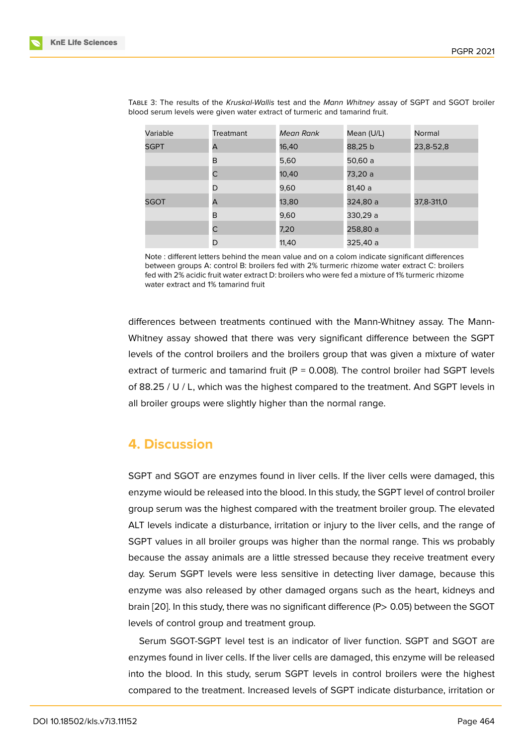| Variable    | <b>Treatmant</b> | Mean Rank | Mean (U/L) | Normal     |
|-------------|------------------|-----------|------------|------------|
| <b>SGPT</b> | А                | 16,40     | 88,25 b    | 23,8-52,8  |
|             | B                | 5,60      | 50,60 a    |            |
|             | C                | 10,40     | 73,20 a    |            |
|             | D                | 9,60      | 81,40 a    |            |
| <b>SGOT</b> | A                | 13,80     | 324,80 a   | 37,8-311,0 |
|             | B                | 9,60      | 330,29 a   |            |
|             | C                | 7,20      | 258,80 a   |            |
|             | D                | 11,40     | 325,40 a   |            |

Table 3: The results of the *Kruskal-Wallis* test and the *Mann Whitney* assay of SGPT and SGOT broiler blood serum levels were given water extract of turmeric and tamarind fruit.

Note : different letters behind the mean value and on a colom indicate significant differences between groups A: control B: broilers fed with 2% turmeric rhizome water extract C: broilers fed with 2% acidic fruit water extract D: broilers who were fed a mixture of 1% turmeric rhizome water extract and 1% tamarind fruit

differences between treatments continued with the Mann-Whitney assay. The Mann-Whitney assay showed that there was very significant difference between the SGPT levels of the control broilers and the broilers group that was given a mixture of water extract of turmeric and tamarind fruit ( $P = 0.008$ ). The control broiler had SGPT levels of 88.25 / U / L, which was the highest compared to the treatment. And SGPT levels in all broiler groups were slightly higher than the normal range.

# **4. Discussion**

SGPT and SGOT are enzymes found in liver cells. If the liver cells were damaged, this enzyme wiould be released into the blood. In this study, the SGPT level of control broiler group serum was the highest compared with the treatment broiler group. The elevated ALT levels indicate a disturbance, irritation or injury to the liver cells, and the range of SGPT values in all broiler groups was higher than the normal range. This ws probably because the assay animals are a little stressed because they receive treatment every day. Serum SGPT levels were less sensitive in detecting liver damage, because this enzyme was also released by other damaged organs such as the heart, kidneys and brain [20]. In this study, there was no significant difference (P> 0.05) between the SGOT levels of control group and treatment group.

Serum SGOT-SGPT level test is an indicator of liver function. SGPT and SGOT are enzy[mes](#page-9-6) found in liver cells. If the liver cells are damaged, this enzyme will be released into the blood. In this study, serum SGPT levels in control broilers were the highest compared to the treatment. Increased levels of SGPT indicate disturbance, irritation or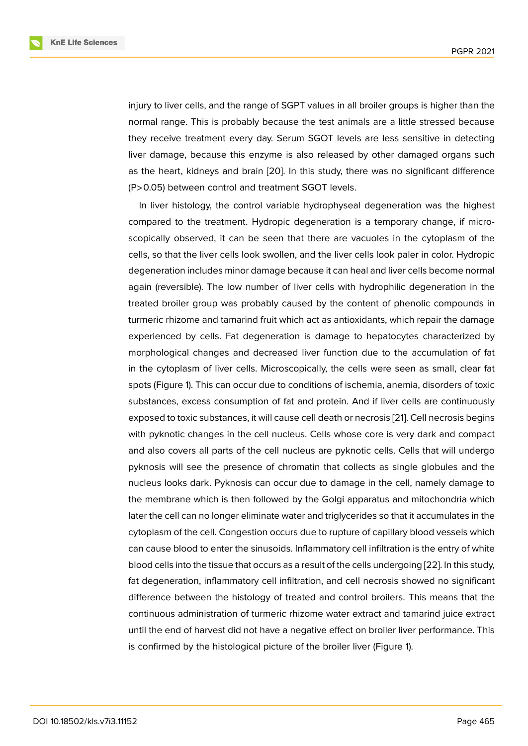injury to liver cells, and the range of SGPT values in all broiler groups is higher than the normal range. This is probably because the test animals are a little stressed because they receive treatment every day. Serum SGOT levels are less sensitive in detecting liver damage, because this enzyme is also released by other damaged organs such as the heart, kidneys and brain [20]. In this study, there was no significant difference (P>0.05) between control and treatment SGOT levels.

In liver histology, the control variable hydrophyseal degeneration was the highest compared to the treatment. Hyd[rop](#page-9-6)ic degeneration is a temporary change, if microscopically observed, it can be seen that there are vacuoles in the cytoplasm of the cells, so that the liver cells look swollen, and the liver cells look paler in color. Hydropic degeneration includes minor damage because it can heal and liver cells become normal again (reversible). The low number of liver cells with hydrophilic degeneration in the treated broiler group was probably caused by the content of phenolic compounds in turmeric rhizome and tamarind fruit which act as antioxidants, which repair the damage experienced by cells. Fat degeneration is damage to hepatocytes characterized by morphological changes and decreased liver function due to the accumulation of fat in the cytoplasm of liver cells. Microscopically, the cells were seen as small, clear fat spots (Figure 1). This can occur due to conditions of ischemia, anemia, disorders of toxic substances, excess consumption of fat and protein. And if liver cells are continuously exposed to toxic substances, it will cause cell death or necrosis [21]. Cell necrosis begins with pyknotic [c](#page-5-0)hanges in the cell nucleus. Cells whose core is very dark and compact and also covers all parts of the cell nucleus are pyknotic cells. Cells that will undergo pyknosis will see the presence of chromatin that collects as [sin](#page-10-0)gle globules and the nucleus looks dark. Pyknosis can occur due to damage in the cell, namely damage to the membrane which is then followed by the Golgi apparatus and mitochondria which later the cell can no longer eliminate water and triglycerides so that it accumulates in the cytoplasm of the cell. Congestion occurs due to rupture of capillary blood vessels which can cause blood to enter the sinusoids. Inflammatory cell infiltration is the entry of white blood cells into the tissue that occurs as a result of the cells undergoing [22]. In this study, fat degeneration, inflammatory cell infiltration, and cell necrosis showed no significant difference between the histology of treated and control broilers. This means that the continuous administration of turmeric rhizome water extract and tama[rind](#page-10-1) juice extract until the end of harvest did not have a negative effect on broiler liver performance. This is confirmed by the histological picture of the broiler liver (Figure 1).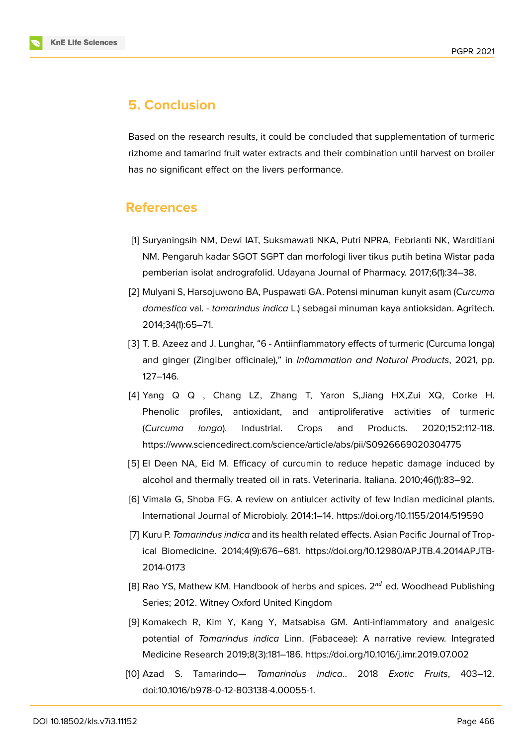

# **5. Conclusion**

Based on the research results, it could be concluded that supplementation of turmeric rizhome and tamarind fruit water extracts and their combination until harvest on broiler has no significant effect on the livers performance.

## **References**

- [1] Suryaningsih NM, Dewi IAT, Suksmawati NKA, Putri NPRA, Febrianti NK, Warditiani NM. Pengaruh kadar SGOT SGPT dan morfologi liver tikus putih betina Wistar pada pemberian isolat andrografolid. Udayana Journal of Pharmacy. 2017;6(1):34–38.
- [2] Mulyani S, Harsojuwono BA, Puspawati GA. Potensi minuman kunyit asam (*Curcuma domestica* val. - *tamarindus indica* L.) sebagai minuman kaya antioksidan. Agritech. 2014;34(1):65–71.
- [3] T. B. Azeez and J. Lunghar, "6 Antiinflammatory effects of turmeric (Curcuma longa) and ginger (Zingiber officinale)," in *Inflammation and Natural Products*, 2021, pp. 127–146.
- [4] Yang Q Q , Chang LZ, Zhang T, Yaron S,Jiang HX,Zui XQ, Corke H. Phenolic profiles, antioxidant, and antiproliferative activities of turmeric (*Curcuma longa*). Industrial. Crops and Products. 2020;152:112-118. https://www.sciencedirect.com/science/article/abs/pii/S0926669020304775
- <span id="page-8-0"></span>[5] El Deen NA, Eid M. Efficacy of curcumin to reduce hepatic damage induced by alcohol and thermally treated oil in rats. Veterinaria. Italiana. 2010;46(1):83–92.
- <span id="page-8-1"></span>[6] Vimala G, Shoba FG. A review on antiulcer activity of few Indian medicinal plants. International Journal of Microbioly. 2014:1–14. https://doi.org/10.1155/2014/519590
- <span id="page-8-2"></span>[7] Kuru P. *Tamarindus indica* and its health related effects. Asian Pacific Journal of Tropical Biomedicine. 2014;4(9):676–681. https://doi.org/10.12980/APJTB.4.2014APJTB-2014-0173
- <span id="page-8-3"></span>[8] Rao YS, Mathew KM. Handbook of herbs and spices.  $2^{nd}$  ed. Woodhead Publishing Series; 2012. Witney Oxford United Kingdom
- <span id="page-8-4"></span>[9] Komakech R, Kim Y, Kang Y, Matsabisa GM. Anti-inflammatory and analgesic potential of *Tamarindus indica* Linn. (Fabaceae): A narrative review. Integrated Medicine Research 2019;8(3):181–186. https://doi.org/10.1016/j.imr.2019.07.002
- <span id="page-8-5"></span>[10] Azad S. Tamarindo— *Tamarindus indica*.. 2018 *Exotic Fruits*, 403–12. doi:10.1016/b978-0-12-803138-4.00055-1.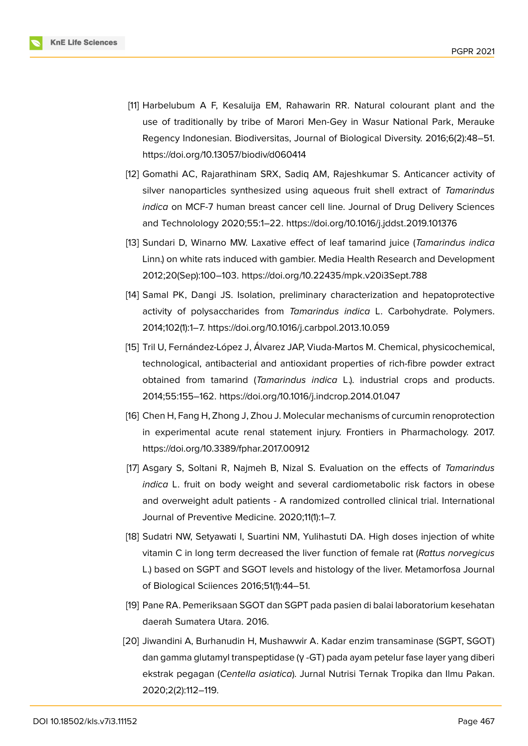

- <span id="page-9-0"></span>[11] Harbelubum A F, Kesaluija EM, Rahawarin RR. Natural colourant plant and the use of traditionally by tribe of Marori Men-Gey in Wasur National Park, Merauke Regency Indonesian. Biodiversitas, Journal of Biological Diversity. 2016;6(2):48–51. https://doi.org/10.13057/biodiv/d060414
- <span id="page-9-1"></span>[12] Gomathi AC, Rajarathinam SRX, Sadiq AM, Rajeshkumar S. Anticancer activity of silver nanoparticles synthesized using aqueous fruit shell extract of *Tamarindus indica* on MCF-7 human breast cancer cell line. Journal of Drug Delivery Sciences and Technolology 2020;55:1–22. https://doi.org/10.1016/j.jddst.2019.101376
- <span id="page-9-2"></span>[13] Sundari D, Winarno MW. Laxative effect of leaf tamarind juice (*Tamarindus indica* Linn.) on white rats induced with gambier. Media Health Research and Development 2012;20(Sep):100–103. https://doi.org/10.22435/mpk.v20i3Sept.788
- <span id="page-9-3"></span>[14] Samal PK, Dangi JS. Isolation, preliminary characterization and hepatoprotective activity of polysaccharides from *Tamarindus indica* L. Carbohydrate. Polymers. 2014;102(1):1–7. https://doi.org/10.1016/j.carbpol.2013.10.059
- [15] Tril U, Fernández-López J, Álvarez JAP, Viuda-Martos M. Chemical, physicochemical, technological, antibacterial and antioxidant properties of rich-fibre powder extract obtained from tamarind (*Tamarindus indica* L.). industrial crops and products. 2014;55:155–162. https://doi.org/10.1016/j.indcrop.2014.01.047
- [16] Chen H, Fang H, Zhong J, Zhou J. Molecular mechanisms of curcumin renoprotection in experimental acute renal statement injury. Frontiers in Pharmachology. 2017. https://doi.org/10.3389/fphar.2017.00912
- [17] Asgary S, Soltani R, Najmeh B, Nizal S. Evaluation on the effects of *Tamarindus indica* L. fruit on body weight and several cardiometabolic risk factors in obese and overweight adult patients - A randomized controlled clinical trial. International Journal of Preventive Medicine. 2020;11(1):1–7.
- <span id="page-9-4"></span>[18] Sudatri NW, Setyawati I, Suartini NM, Yulihastuti DA. High doses injection of white vitamin C in long term decreased the liver function of female rat (*Rattus norvegicus* L.) based on SGPT and SGOT levels and histology of the liver. Metamorfosa Journal of Biological Sciiences 2016;51(1):44–51.
- <span id="page-9-5"></span>[19] Pane RA. Pemeriksaan SGOT dan SGPT pada pasien di balai laboratorium kesehatan daerah Sumatera Utara. 2016.
- <span id="page-9-6"></span>[20] Jiwandini A, Burhanudin H, Mushawwir A. Kadar enzim transaminase (SGPT, SGOT) dan gamma glutamyl transpeptidase (γ -GT) pada ayam petelur fase layer yang diberi ekstrak pegagan (*Centella asiatica*). Jurnal Nutrisi Ternak Tropika dan Ilmu Pakan. 2020;2(2):112–119.